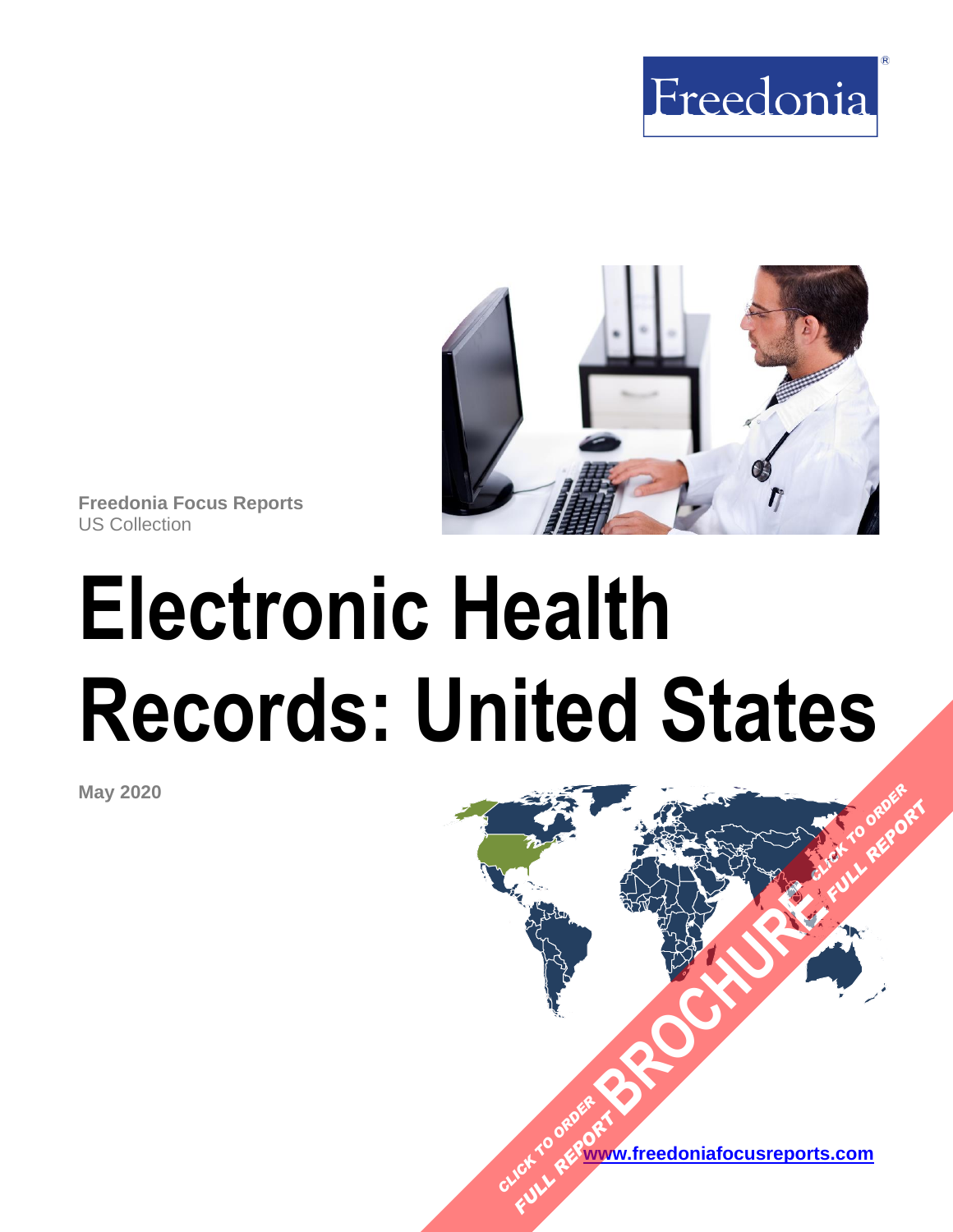



**Freedonia Focus Reports** US Collection

# **Electronic Health Records: United States**

**May 2020**

**[www.freedoniafocusreports.com](https://www.freedoniafocusreports.com/redirect.asp?progid=89534&url=/)** CLICK TO ORDER **FULL REPORT** 

**[BROCHURE](https://www.freedoniafocusreports.com/Electronic-Health-Records-United-States-FF40065/?progid=89541) CLICK TO ORDER** 

**FULL REPORT**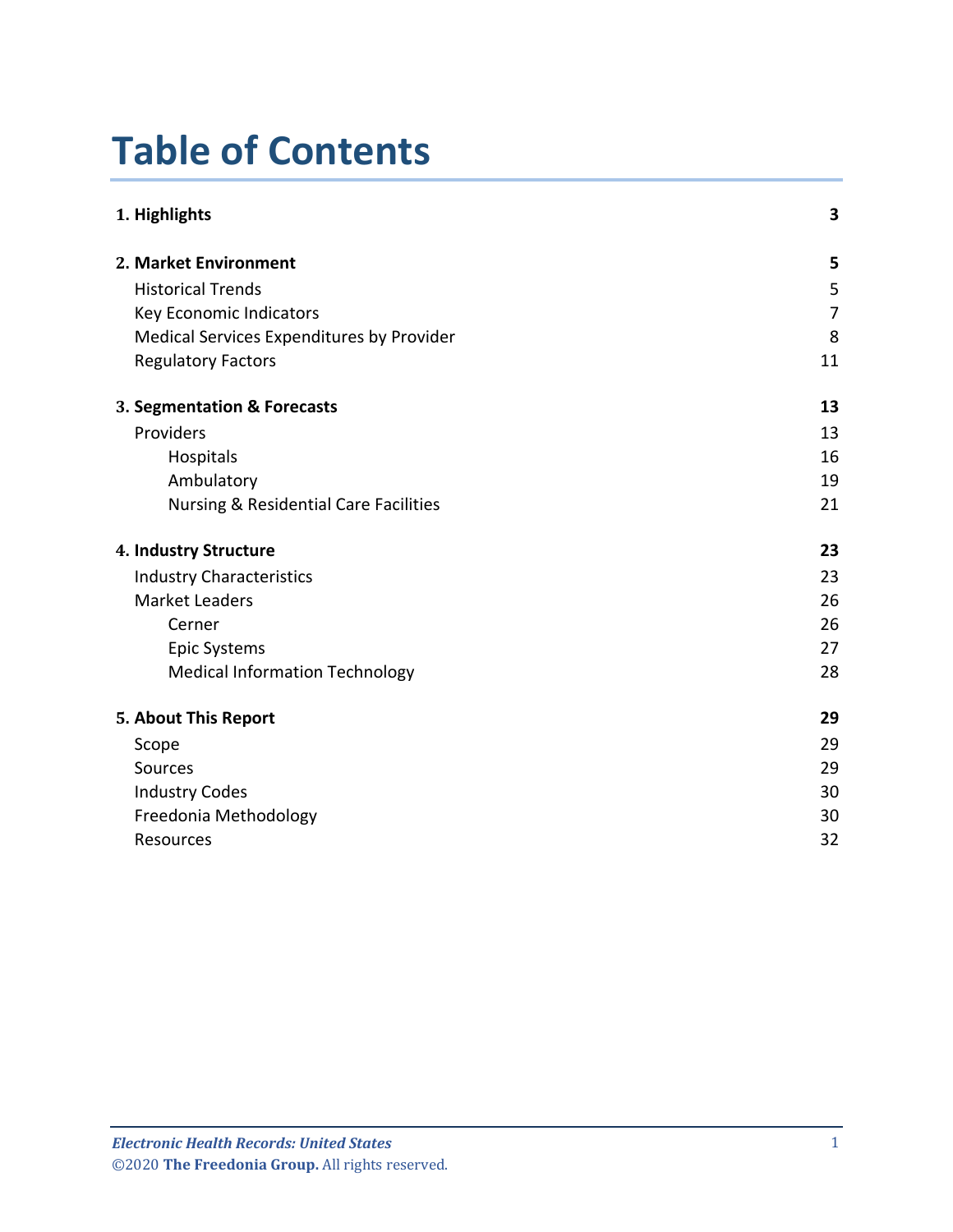# **Table of Contents**

| 1. Highlights                                    | 3  |
|--------------------------------------------------|----|
| 2. Market Environment                            | 5  |
| <b>Historical Trends</b>                         | 5  |
| Key Economic Indicators                          | 7  |
| Medical Services Expenditures by Provider        | 8  |
| <b>Regulatory Factors</b>                        | 11 |
| 3. Segmentation & Forecasts                      | 13 |
| Providers                                        | 13 |
| Hospitals                                        | 16 |
| Ambulatory                                       | 19 |
| <b>Nursing &amp; Residential Care Facilities</b> | 21 |
| 4. Industry Structure                            | 23 |
| <b>Industry Characteristics</b>                  | 23 |
| <b>Market Leaders</b>                            | 26 |
| Cerner                                           | 26 |
| <b>Epic Systems</b>                              | 27 |
| <b>Medical Information Technology</b>            | 28 |
| 5. About This Report                             | 29 |
| Scope                                            | 29 |
| Sources                                          | 29 |
| <b>Industry Codes</b>                            | 30 |
| Freedonia Methodology                            | 30 |
| Resources                                        | 32 |
|                                                  |    |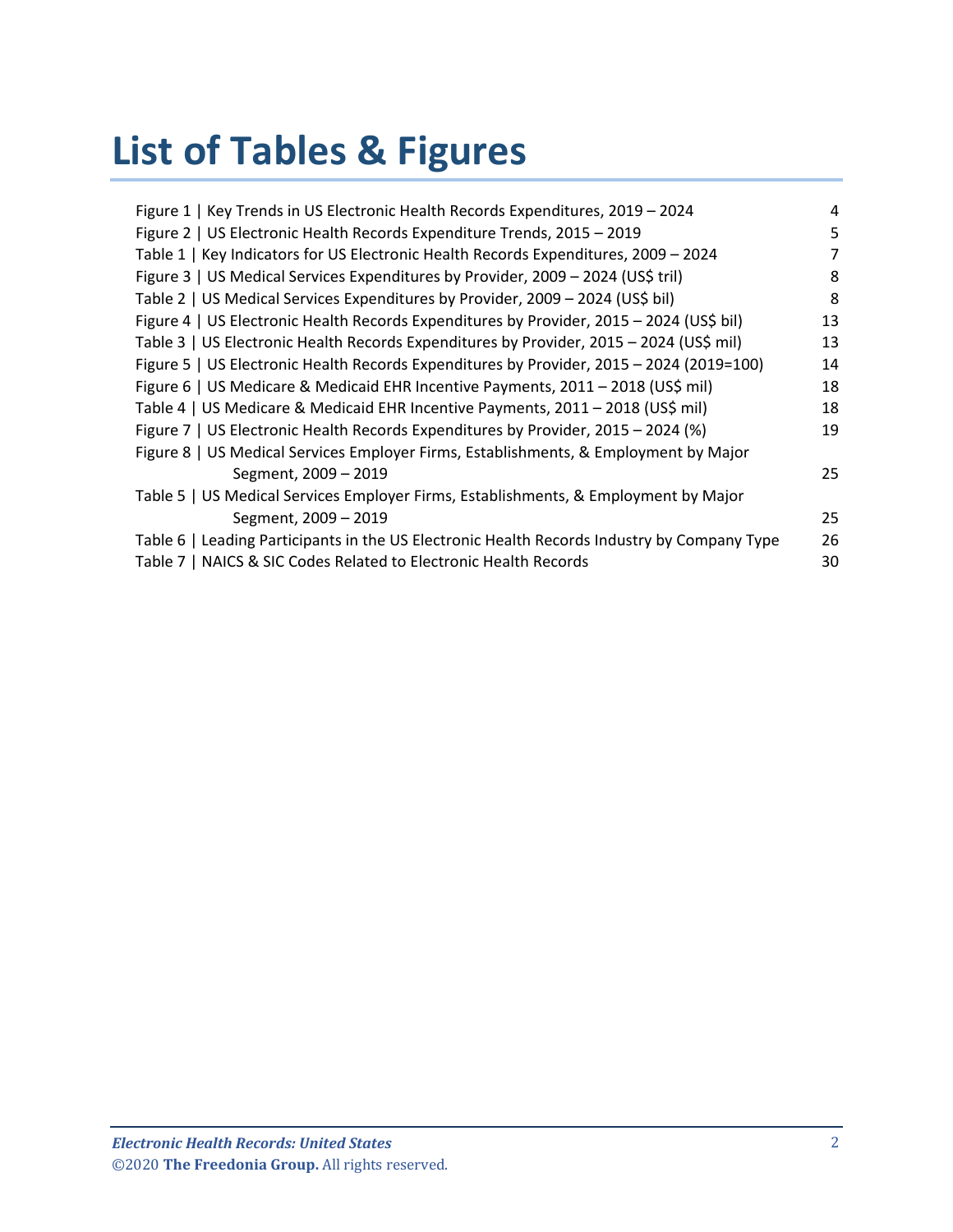# **List of Tables & Figures**

| Figure 1   Key Trends in US Electronic Health Records Expenditures, 2019 - 2024             | 4  |
|---------------------------------------------------------------------------------------------|----|
| Figure 2   US Electronic Health Records Expenditure Trends, 2015 - 2019                     | 5  |
| Table 1   Key Indicators for US Electronic Health Records Expenditures, 2009 - 2024         | 7  |
| Figure 3   US Medical Services Expenditures by Provider, 2009 - 2024 (US\$ tril)            | 8  |
| Table 2   US Medical Services Expenditures by Provider, 2009 - 2024 (US\$ bil)              | 8  |
| Figure 4   US Electronic Health Records Expenditures by Provider, 2015 - 2024 (US\$ bil)    | 13 |
| Table 3   US Electronic Health Records Expenditures by Provider, 2015 - 2024 (US\$ mil)     | 13 |
| Figure 5   US Electronic Health Records Expenditures by Provider, 2015 - 2024 (2019=100)    | 14 |
| Figure 6   US Medicare & Medicaid EHR Incentive Payments, 2011 - 2018 (US\$ mil)            | 18 |
| Table 4   US Medicare & Medicaid EHR Incentive Payments, 2011 - 2018 (US\$ mil)             | 18 |
| Figure 7   US Electronic Health Records Expenditures by Provider, 2015 - 2024 (%)           | 19 |
| Figure 8   US Medical Services Employer Firms, Establishments, & Employment by Major        |    |
| Segment, 2009 - 2019                                                                        | 25 |
| Table 5   US Medical Services Employer Firms, Establishments, & Employment by Major         |    |
| Segment, 2009 - 2019                                                                        | 25 |
| Table 6   Leading Participants in the US Electronic Health Records Industry by Company Type | 26 |
| Table 7   NAICS & SIC Codes Related to Electronic Health Records                            | 30 |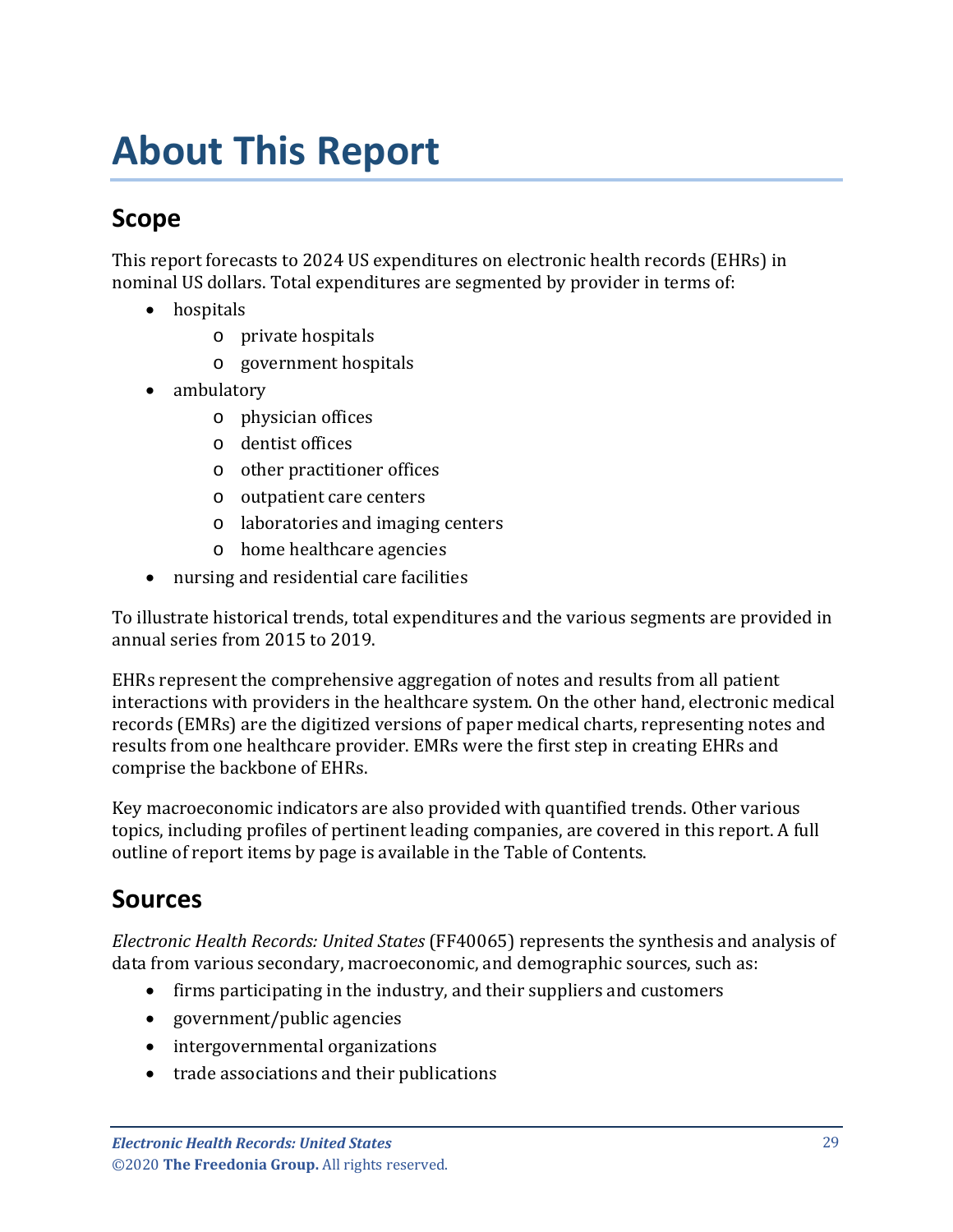# <span id="page-3-1"></span><span id="page-3-0"></span>**Scope**

This report forecasts to 2024 US expenditures on electronic health records (EHRs) in nominal US dollars. Total expenditures are segmented by provider in terms of:

- hospitals
	- o private hospitals
	- o government hospitals
- ambulatory
	- o physician offices
	- o dentist offices
	- o other practitioner offices
	- o outpatient care centers
	- o laboratories and imaging centers
	- o home healthcare agencies
- nursing and residential care facilities

To illustrate historical trends, total expenditures and the various segments are provided in annual series from 2015 to 2019.

EHRs represent the comprehensive aggregation of notes and results from all patient interactions with providers in the healthcare system. On the other hand, electronic medical records (EMRs) are the digitized versions of paper medical charts, representing notes and results from one healthcare provider. EMRs were the first step in creating EHRs and comprise the backbone of EHRs.

Key macroeconomic indicators are also provided with quantified trends. Other various topics, including profiles of pertinent leading companies, are covered in this report. A full outline of report items by page is available in the Table of Contents.

## <span id="page-3-2"></span>**Sources**

*Electronic Health Records: United States* (FF40065) represents the synthesis and analysis of data from various secondary, macroeconomic, and demographic sources, such as:

- firms participating in the industry, and their suppliers and customers
- government/public agencies
- intergovernmental organizations
- trade associations and their publications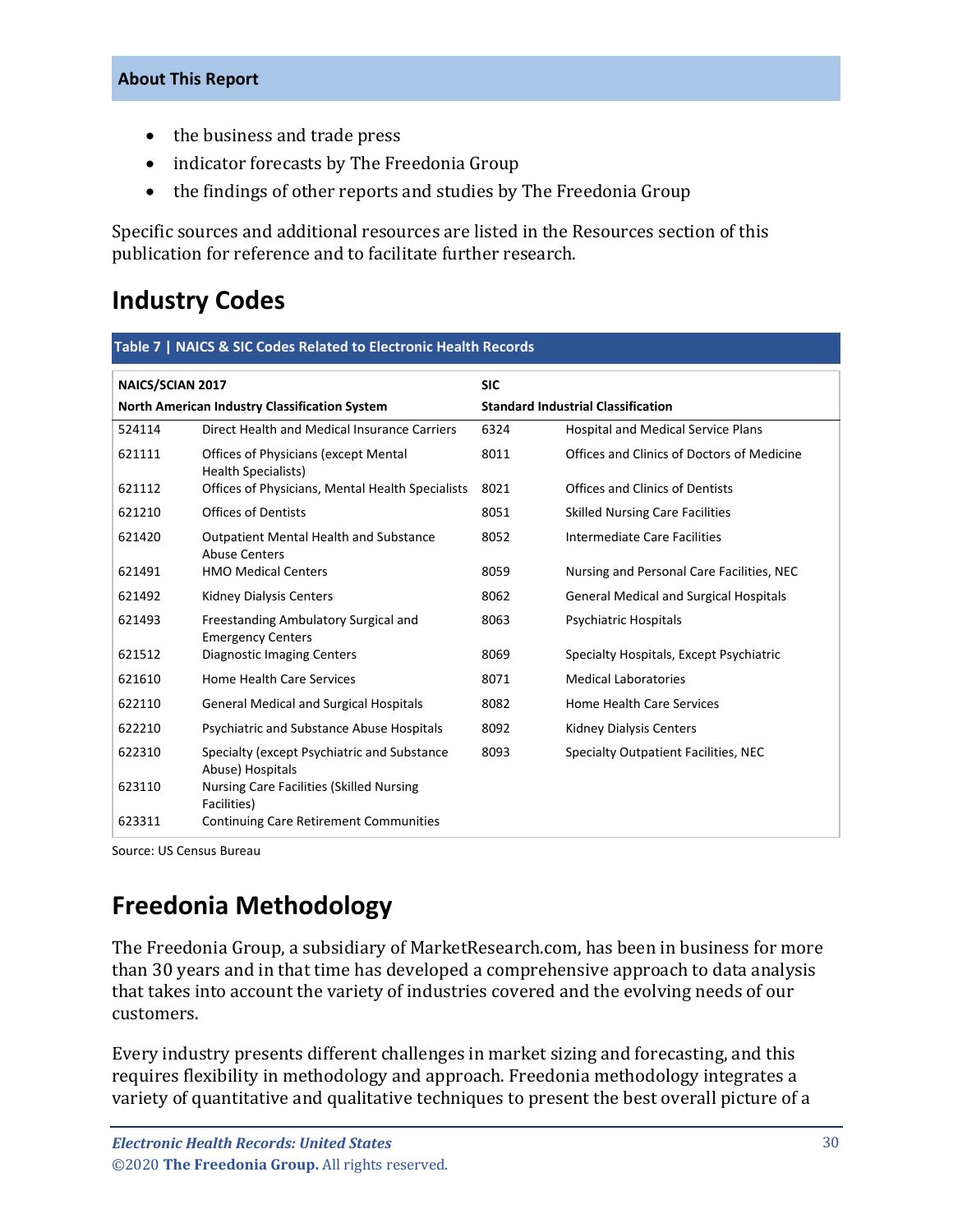- the business and trade press
- indicator forecasts by The Freedonia Group
- the findings of other reports and studies by The Freedonia Group

Specific sources and additional resources are listed in the Resources section of this publication for reference and to facilitate further research.

## <span id="page-4-0"></span>**Industry Codes**

<span id="page-4-2"></span>

| NAICS/SCIAN 2017                              |                                                                       | <b>SIC</b>                                |                                               |
|-----------------------------------------------|-----------------------------------------------------------------------|-------------------------------------------|-----------------------------------------------|
| North American Industry Classification System |                                                                       | <b>Standard Industrial Classification</b> |                                               |
| 524114                                        | Direct Health and Medical Insurance Carriers                          | 6324                                      | <b>Hospital and Medical Service Plans</b>     |
| 621111                                        | <b>Offices of Physicians (except Mental</b><br>Health Specialists)    | 8011                                      | Offices and Clinics of Doctors of Medicine    |
| 621112                                        | Offices of Physicians, Mental Health Specialists                      | 8021                                      | Offices and Clinics of Dentists               |
| 621210                                        | <b>Offices of Dentists</b>                                            | 8051                                      | <b>Skilled Nursing Care Facilities</b>        |
| 621420                                        | <b>Outpatient Mental Health and Substance</b><br><b>Abuse Centers</b> | 8052                                      | <b>Intermediate Care Facilities</b>           |
| 621491                                        | <b>HMO Medical Centers</b>                                            | 8059                                      | Nursing and Personal Care Facilities, NEC     |
| 621492                                        | <b>Kidney Dialysis Centers</b>                                        | 8062                                      | <b>General Medical and Surgical Hospitals</b> |
| 621493                                        | Freestanding Ambulatory Surgical and<br><b>Emergency Centers</b>      | 8063                                      | <b>Psychiatric Hospitals</b>                  |
| 621512                                        | <b>Diagnostic Imaging Centers</b>                                     | 8069                                      | Specialty Hospitals, Except Psychiatric       |
| 621610                                        | <b>Home Health Care Services</b>                                      | 8071                                      | <b>Medical Laboratories</b>                   |
| 622110                                        | <b>General Medical and Surgical Hospitals</b>                         | 8082                                      | <b>Home Health Care Services</b>              |
| 622210                                        | Psychiatric and Substance Abuse Hospitals                             | 8092                                      | <b>Kidney Dialysis Centers</b>                |
| 622310                                        | Specialty (except Psychiatric and Substance<br>Abuse) Hospitals       | 8093                                      | Specialty Outpatient Facilities, NEC          |
| 623110                                        | <b>Nursing Care Facilities (Skilled Nursing</b><br>Facilities)        |                                           |                                               |
| 623311                                        | <b>Continuing Care Retirement Communities</b>                         |                                           |                                               |

Source: US Census Bureau

# <span id="page-4-1"></span>**Freedonia Methodology**

The Freedonia Group, a subsidiary of MarketResearch.com, has been in business for more than 30 years and in that time has developed a comprehensive approach to data analysis that takes into account the variety of industries covered and the evolving needs of our customers.

Every industry presents different challenges in market sizing and forecasting, and this requires flexibility in methodology and approach. Freedonia methodology integrates a variety of quantitative and qualitative techniques to present the best overall picture of a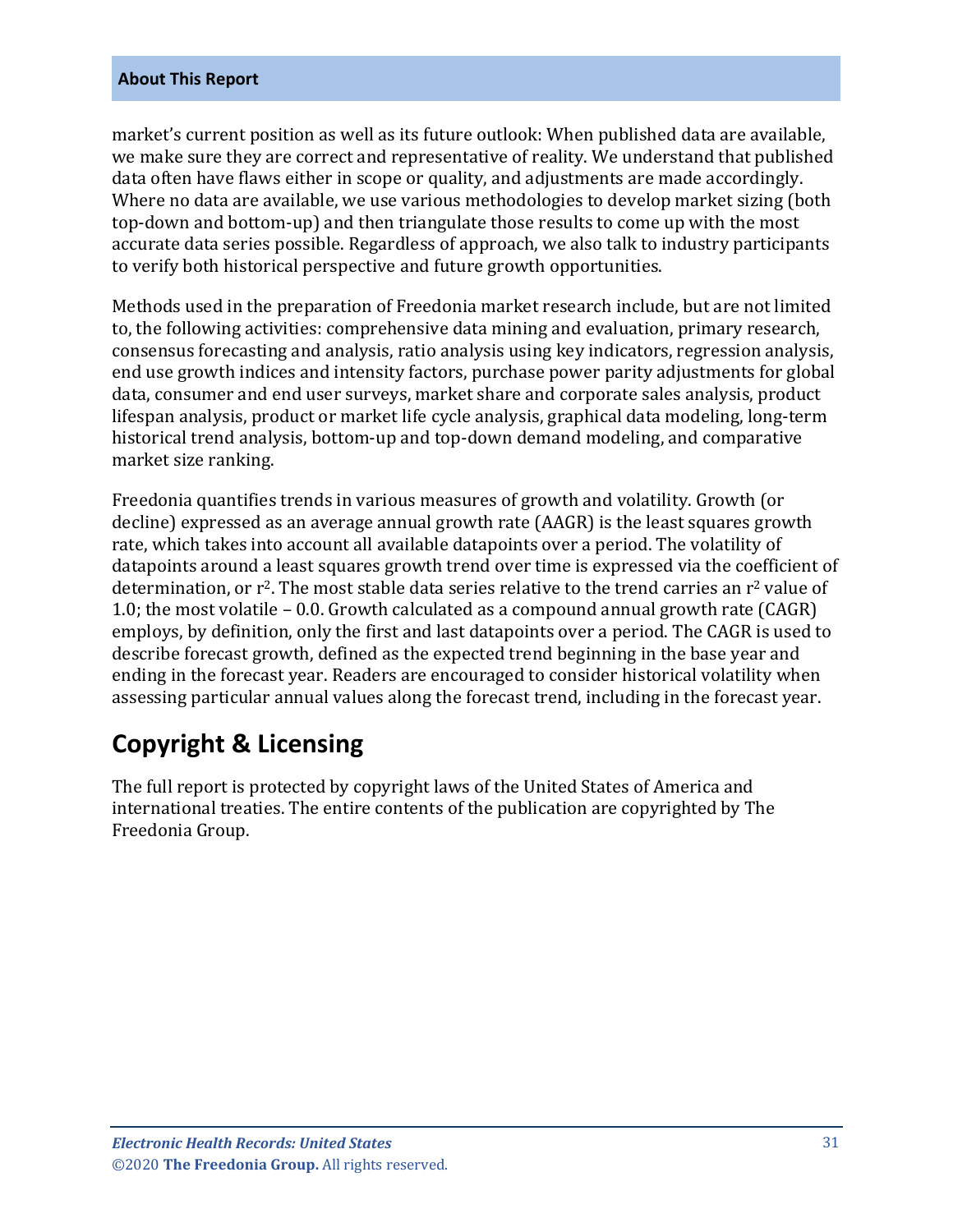market's current position as well as its future outlook: When published data are available, we make sure they are correct and representative of reality. We understand that published data often have flaws either in scope or quality, and adjustments are made accordingly. Where no data are available, we use various methodologies to develop market sizing (both top-down and bottom-up) and then triangulate those results to come up with the most accurate data series possible. Regardless of approach, we also talk to industry participants to verify both historical perspective and future growth opportunities.

Methods used in the preparation of Freedonia market research include, but are not limited to, the following activities: comprehensive data mining and evaluation, primary research, consensus forecasting and analysis, ratio analysis using key indicators, regression analysis, end use growth indices and intensity factors, purchase power parity adjustments for global data, consumer and end user surveys, market share and corporate sales analysis, product lifespan analysis, product or market life cycle analysis, graphical data modeling, long-term historical trend analysis, bottom-up and top-down demand modeling, and comparative market size ranking.

Freedonia quantifies trends in various measures of growth and volatility. Growth (or decline) expressed as an average annual growth rate (AAGR) is the least squares growth rate, which takes into account all available datapoints over a period. The volatility of datapoints around a least squares growth trend over time is expressed via the coefficient of determination, or  $r^2$ . The most stable data series relative to the trend carries an  $r^2$  value of 1.0; the most volatile – 0.0. Growth calculated as a compound annual growth rate (CAGR) employs, by definition, only the first and last datapoints over a period. The CAGR is used to describe forecast growth, defined as the expected trend beginning in the base year and ending in the forecast year. Readers are encouraged to consider historical volatility when assessing particular annual values along the forecast trend, including in the forecast year.

### **Copyright & Licensing**

The full report is protected by copyright laws of the United States of America and international treaties. The entire contents of the publication are copyrighted by The Freedonia Group.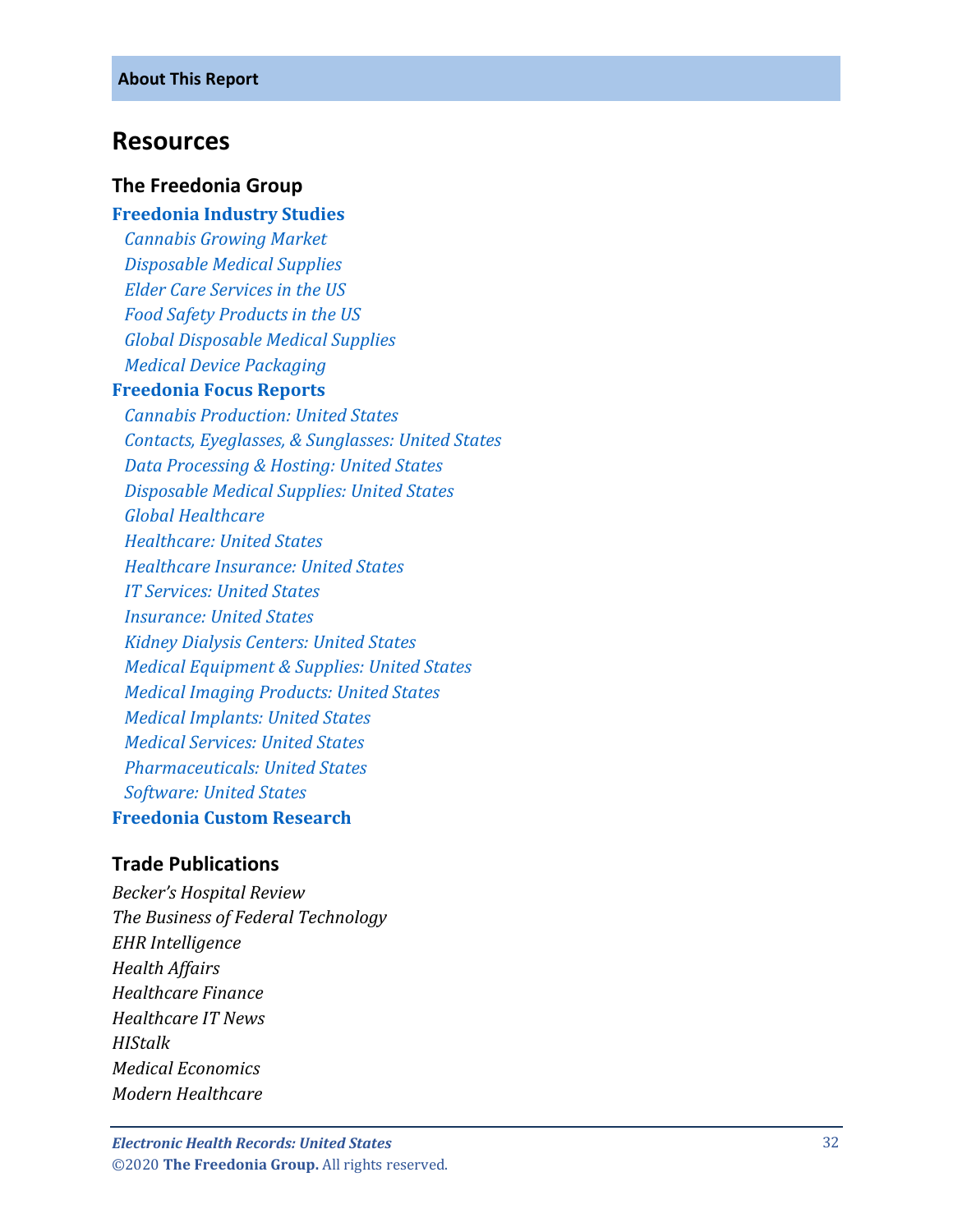#### <span id="page-6-0"></span>**Resources**

#### **The Freedonia Group**

#### **[Freedonia Industry Studies](http://www.freedoniagroup.com/Home.aspx?ReferrerId=FL-Focus)**

 *[Cannabis Growing Market](http://www.freedoniagroup.com/DocumentDetails.aspx?ReferrerId=FL-FOCUS&studyid=3749) [Disposable Medical Supplies](http://www.freedoniagroup.com/DocumentDetails.aspx?ReferrerId=FL-FOCUS&studyid=3631) [Elder Care Services in the US](http://www.freedoniagroup.com/DocumentDetails.aspx?ReferrerId=FL-FOCUS&studyid=3587) [Food Safety Products in the US](http://www.freedoniagroup.com/DocumentDetails.aspx?ReferrerId=FL-FOCUS&studyid=3613) [Global Disposable Medical Supplies](http://www.freedoniagroup.com/DocumentDetails.aspx?ReferrerId=FL-FOCUS&studyid=3694) [Medical Device Packaging](http://www.freedoniagroup.com/DocumentDetails.aspx?ReferrerId=FL-FOCUS&studyid=3782)*

#### **[Freedonia Focus Reports](https://www.freedoniafocusreports.com/redirect.asp?progid=89534&url=/)**

 *[Cannabis Production: United States](https://www.freedoniafocusreports.com/Cannabis-United-States-FF10064/?progid=89534) [Contacts, Eyeglasses, & Sunglasses: United States](https://www.freedoniafocusreports.com/Contacts-Glasses-Sunglasses-United-States-FF40088/?progid=89534) [Data Processing & Hosting: United States](https://www.freedoniafocusreports.com/Data-Processing-Hosting-United-States-FF95031/?progid=89534) [Disposable Medical Supplies: United States](https://www.freedoniafocusreports.com/Disposable-Medical-Supplies-United-States-FF40019/?progid=89534) [Global Healthcare](https://www.freedoniafocusreports.com/Global-Healthcare-FW40017/?progid=89534) [Healthcare: United States](https://www.freedoniafocusreports.com/Healthcare-United-States-FF40017/?progid=89534) [Healthcare Insurance: United States](https://www.freedoniafocusreports.com/Healthcare-Insurance-United-States-FF95013/?progid=89534) [IT Services: United States](https://www.freedoniafocusreports.com/IT-Services-United-States-FF95042/?progid=89534) [Insurance: United States](https://www.freedoniafocusreports.com/Insurance-United-States-FF95012/?progid=89534) [Kidney Dialysis Centers: United States](https://www.freedoniafocusreports.com/Kidney-Dialysis-Centers-United-States-FF40084/?progid=89534) [Medical Equipment & Supplies: United States](https://www.freedoniafocusreports.com/Medical-Equipment-Supplies-United-States-FF40018/?progid=89534) [Medical Imaging Products: United States](https://www.freedoniafocusreports.com/Medical-Imaging-Products-United-States-FF40037/?progid=89534) [Medical Implants: United States](https://www.freedoniafocusreports.com/Medical-Implants-United-States-FF40032/?progid=89534) [Medical Services: United States](https://www.freedoniafocusreports.com/Medical-Services-United-States-FF95014/?progid=89534) [Pharmaceuticals: United States](https://www.freedoniafocusreports.com/Pharmaceuticals-United-States-FF40040/?progid=89534) [Software: United States](https://www.freedoniafocusreports.com/Software-United-States-FF95028/?progid=89534)* **[Freedonia Custom Research](http://www.freedoniagroup.com/CustomResearch.aspx?ReferrerId=FL-Focus)**

#### **Trade Publications**

*Becker's Hospital Review The Business of Federal Technology EHR Intelligence Health Affairs Healthcare Finance Healthcare IT News HIStalk Medical Economics Modern Healthcare*